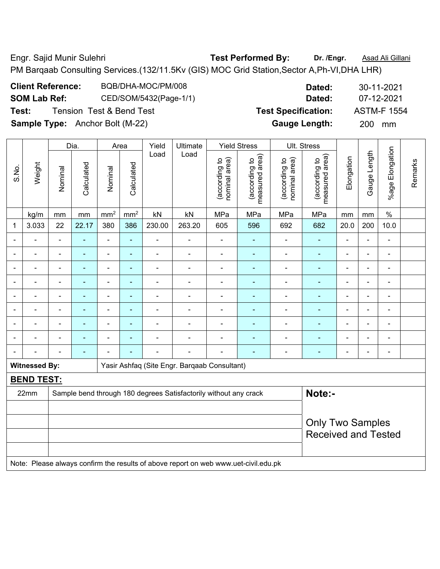Engr. Sajid Munir Sulehri **Test Performed By:** Dr. /Engr. **Asad Ali Gillani** Collani PM Barqaab Consulting Services.(132/11.5Kv (GIS) MOC Grid Station,Sector A,Ph-VI,DHA LHR)

|                     | <b>Client Reference:</b>               | BQB/DHA-MOC/PM/008                  |       |          |                     | Dated:                     |                    | 30-11-2021 |  |
|---------------------|----------------------------------------|-------------------------------------|-------|----------|---------------------|----------------------------|--------------------|------------|--|
| <b>SOM Lab Ref:</b> |                                        | CED/SOM/5432(Page-1/1)              |       |          |                     | Dated:                     |                    | 07-12-2021 |  |
| Test:               |                                        | <b>Tension Test &amp; Bend Test</b> |       |          |                     | <b>Test Specification:</b> | <b>ASTM-F 1554</b> |            |  |
|                     | <b>Sample Type:</b> Anchor Bolt (M-22) |                                     |       |          |                     | <b>Gauge Length:</b>       | <b>200</b>         | mm         |  |
|                     |                                        |                                     |       |          |                     |                            |                    |            |  |
|                     | Dia.                                   | Area                                | Yield | Ultimate | <b>Yield Stress</b> | Ult. Stress                |                    |            |  |

|                |                      |                                                                            | Dia.                                                                                                                                                                                                   |                          | Area            | Yield          | Ultimate                                                                            |                                | Yield Stress                    |                                | UII. Stress                     |                |                |                 |         |
|----------------|----------------------|----------------------------------------------------------------------------|--------------------------------------------------------------------------------------------------------------------------------------------------------------------------------------------------------|--------------------------|-----------------|----------------|-------------------------------------------------------------------------------------|--------------------------------|---------------------------------|--------------------------------|---------------------------------|----------------|----------------|-----------------|---------|
| S.No.          | Weight               | Nominal                                                                    | Calculated                                                                                                                                                                                             | Nominal                  | Calculated      | Load           | Load                                                                                | nominal area)<br>(according to | measured area)<br>(according to | nominal area)<br>(according to | (according to<br>measured area) | Elongation     | Gauge Length   | %age Elongation | Remarks |
|                | kg/m                 | mm                                                                         | mm                                                                                                                                                                                                     | mm <sup>2</sup>          | mm <sup>2</sup> | kN             | kN                                                                                  | MPa                            | MPa                             | MPa                            | MPa                             | mm             | mm             | $\%$            |         |
| 1              | 3.033                | 22                                                                         | 22.17                                                                                                                                                                                                  | 380                      | 386             | 230.00         | 263.20                                                                              | 605                            | 596                             | 692                            | 682                             | 20.0           | 200            | 10.0            |         |
|                | $\blacksquare$       | $\blacksquare$                                                             | $\blacksquare$                                                                                                                                                                                         | $\blacksquare$           | ä,              | $\blacksquare$ | $\blacksquare$                                                                      | ä,                             |                                 |                                | $\blacksquare$                  |                | $\blacksquare$ | ä,              |         |
|                |                      |                                                                            | $\blacksquare$                                                                                                                                                                                         | $\overline{\phantom{a}}$ | $\blacksquare$  | $\blacksquare$ | $\blacksquare$                                                                      | $\overline{a}$                 | $\blacksquare$                  |                                | $\blacksquare$                  |                | $\blacksquare$ | $\blacksquare$  |         |
|                | $\overline{a}$       |                                                                            |                                                                                                                                                                                                        | $\blacksquare$           | $\blacksquare$  | $\blacksquare$ |                                                                                     | $\blacksquare$                 |                                 |                                | $\blacksquare$                  |                | $\blacksquare$ | $\blacksquare$  |         |
| $\blacksquare$ | ÷                    | $\blacksquare$                                                             | $\blacksquare$                                                                                                                                                                                         | $\blacksquare$           | $\blacksquare$  | $\blacksquare$ | $\blacksquare$                                                                      |                                | $\blacksquare$                  | $\blacksquare$                 | $\blacksquare$                  | $\blacksquare$ | ä,             | $\blacksquare$  |         |
| $\blacksquare$ | ä,                   | $\blacksquare$                                                             | $\blacksquare$<br>ä,<br>$\blacksquare$<br>$\blacksquare$<br>$\blacksquare$<br>$\blacksquare$<br>$\overline{\phantom{a}}$<br>ä,<br>$\blacksquare$<br>$\blacksquare$<br>$\blacksquare$<br>$\blacksquare$ |                          |                 |                |                                                                                     |                                |                                 |                                |                                 |                |                |                 |         |
|                | $\blacksquare$       | $\blacksquare$                                                             | $\blacksquare$                                                                                                                                                                                         | $\blacksquare$           | $\blacksquare$  | $\blacksquare$ | $\blacksquare$                                                                      | ä,                             | ÷                               | L,                             | $\blacksquare$                  |                | $\blacksquare$ | L,              |         |
|                |                      |                                                                            |                                                                                                                                                                                                        | $\overline{\phantom{0}}$ |                 |                |                                                                                     | -                              |                                 |                                |                                 |                | Ē,             | ÷               |         |
|                | $\overline{a}$       |                                                                            | $\blacksquare$                                                                                                                                                                                         | $\blacksquare$           | ٠               | $\blacksquare$ |                                                                                     | $\blacksquare$                 |                                 |                                |                                 |                | $\blacksquare$ | $\blacksquare$  |         |
|                |                      |                                                                            | $\blacksquare$                                                                                                                                                                                         | $\blacksquare$           | $\blacksquare$  | $\blacksquare$ | $\blacksquare$                                                                      | ä,                             | $\blacksquare$                  |                                | $\blacksquare$                  | $\blacksquare$ | ä,             | $\blacksquare$  |         |
|                | <b>Witnessed By:</b> |                                                                            |                                                                                                                                                                                                        |                          |                 |                | Yasir Ashfaq (Site Engr. Barqaab Consultant)                                        |                                |                                 |                                |                                 |                |                |                 |         |
|                | <b>BEND TEST:</b>    |                                                                            |                                                                                                                                                                                                        |                          |                 |                |                                                                                     |                                |                                 |                                |                                 |                |                |                 |         |
|                | 22mm                 | Note:-<br>Sample bend through 180 degrees Satisfactorily without any crack |                                                                                                                                                                                                        |                          |                 |                |                                                                                     |                                |                                 |                                |                                 |                |                |                 |         |
|                |                      |                                                                            |                                                                                                                                                                                                        |                          |                 |                |                                                                                     |                                |                                 |                                |                                 |                |                |                 |         |
|                |                      |                                                                            |                                                                                                                                                                                                        |                          |                 |                |                                                                                     |                                |                                 |                                | <b>Only Two Samples</b>         |                |                |                 |         |
|                |                      |                                                                            |                                                                                                                                                                                                        |                          |                 |                |                                                                                     |                                |                                 |                                | <b>Received and Tested</b>      |                |                |                 |         |
|                |                      |                                                                            |                                                                                                                                                                                                        |                          |                 |                | Note: Please always confirm the results of above report on web www.uet-civil.edu.pk |                                |                                 |                                |                                 |                |                |                 |         |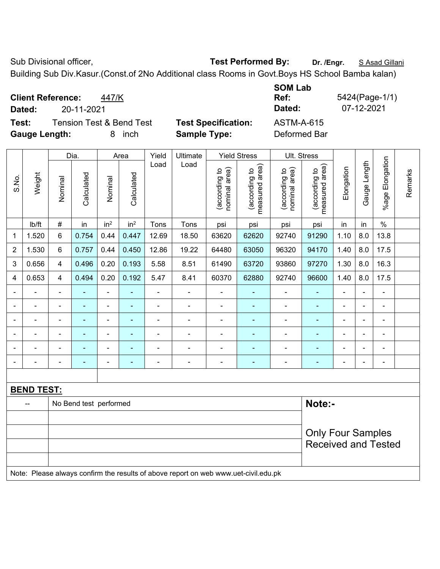Sub Divisional officer, **Test Performed By:** Dr. /Engr. **SAsad Gillani** Sub Divisional officer,

Building Sub Div.Kasur.(Const.of 2No Additional class Rooms in Govt.Boys HS School Bamba kalan)

**Client Reference:** 447/K **SOM Lab Ref:** 5424(Page-1/1) **Dated:** 20-11-2021 **Dated:** 07-12-2021 **Test:** Tension Test & Bend Test **Test Specification:** ASTM-A-615 **Gauge Length:** 8 inch **Sample Type:** Deformed Bar

|                          |                                                                                     | Dia.<br>Area            |                        |                 | Yield           | Ultimate       |                | <b>Yield Stress</b>            |                                 | Ult. Stress                    |                                 |                |                |                 |         |
|--------------------------|-------------------------------------------------------------------------------------|-------------------------|------------------------|-----------------|-----------------|----------------|----------------|--------------------------------|---------------------------------|--------------------------------|---------------------------------|----------------|----------------|-----------------|---------|
| S.No.                    | Weight                                                                              | Nominal                 | Calculated             | Nominal         | Calculated      | Load           | Load           | nominal area)<br>(according to | measured area)<br>(according to | nominal area)<br>(according to | measured area)<br>(according to | Elongation     | Gauge Length   | %age Elongation | Remarks |
|                          | lb/ft                                                                               | $\#$                    | in                     | in <sup>2</sup> | in <sup>2</sup> | Tons           | Tons           | psi                            | psi                             | psi                            | psi                             | in             | in             | $\%$            |         |
| $\mathbf{1}$             | 1.520                                                                               | $6\phantom{a}$          | 0.754                  | 0.44            | 0.447           | 12.69          | 18.50          | 63620                          | 62620                           | 92740                          | 91290                           | 1.10           | 8.0            | 13.8            |         |
| $\overline{2}$           | 1.530                                                                               | $6\phantom{1}$          | 0.757                  | 0.44            | 0.450           | 12.86          | 19.22          | 64480                          | 63050                           | 96320                          | 94170                           | 1.40           | 8.0            | 17.5            |         |
| 3                        | 0.656                                                                               | $\overline{4}$          | 0.496                  | 0.20            | 0.193           | 5.58           | 8.51           | 61490                          | 63720                           | 93860                          | 97270                           | 1.30           | 8.0            | 16.3            |         |
| 4                        | 0.653                                                                               | $\overline{\mathbf{4}}$ | 0.494                  | 0.20            | 0.192           | 5.47           | 8.41           | 60370                          | 62880                           | 92740                          | 96600                           | 1.40           | 8.0            | 17.5            |         |
| $\overline{\phantom{0}}$ | $\blacksquare$                                                                      | $\blacksquare$          | $\blacksquare$         | $\blacksquare$  | $\blacksquare$  | ÷,             | $\blacksquare$ | $\blacksquare$                 | $\blacksquare$                  | $\overline{\phantom{0}}$       | $\blacksquare$                  | $\blacksquare$ | ÷,             | $\blacksquare$  |         |
|                          | $\blacksquare$                                                                      | $\blacksquare$          | $\blacksquare$         | $\blacksquare$  | $\blacksquare$  | $\blacksquare$ | ÷              | L,                             | ä,                              | $\qquad \qquad \blacksquare$   | $\blacksquare$                  | $\blacksquare$ | $\blacksquare$ | $\blacksquare$  |         |
| $\blacksquare$           | ÷                                                                                   | $\blacksquare$          | ä,                     | $\blacksquare$  | $\blacksquare$  | $\blacksquare$ | ä,             | $\blacksquare$                 | $\blacksquare$                  | ÷,                             | $\blacksquare$                  | $\blacksquare$ | $\blacksquare$ | $\blacksquare$  |         |
|                          |                                                                                     |                         |                        | $\blacksquare$  |                 |                |                |                                | ٠                               |                                | $\blacksquare$                  |                |                | $\blacksquare$  |         |
|                          |                                                                                     |                         |                        | ÷               |                 |                | $\blacksquare$ | L,                             |                                 | ٠                              | ä,                              |                |                |                 |         |
| $\overline{a}$           |                                                                                     | $\blacksquare$          |                        | ÷               | $\blacksquare$  | $\blacksquare$ | ÷              | $\blacksquare$                 | ÷                               | ÷                              | ٠                               | $\blacksquare$ | $\overline{a}$ | $\blacksquare$  |         |
|                          |                                                                                     |                         |                        |                 |                 |                |                |                                |                                 |                                |                                 |                |                |                 |         |
|                          | <b>BEND TEST:</b>                                                                   |                         |                        |                 |                 |                |                |                                |                                 |                                |                                 |                |                |                 |         |
|                          | --                                                                                  |                         | No Bend test performed |                 |                 |                |                |                                |                                 |                                | Note:-                          |                |                |                 |         |
|                          |                                                                                     |                         |                        |                 |                 |                |                |                                |                                 |                                |                                 |                |                |                 |         |
|                          |                                                                                     |                         |                        |                 |                 |                |                |                                |                                 |                                | <b>Only Four Samples</b>        |                |                |                 |         |
|                          |                                                                                     |                         |                        |                 |                 |                |                |                                |                                 |                                | <b>Received and Tested</b>      |                |                |                 |         |
|                          |                                                                                     |                         |                        |                 |                 |                |                |                                |                                 |                                |                                 |                |                |                 |         |
|                          | Note: Please always confirm the results of above report on web www.uet-civil.edu.pk |                         |                        |                 |                 |                |                |                                |                                 |                                |                                 |                |                |                 |         |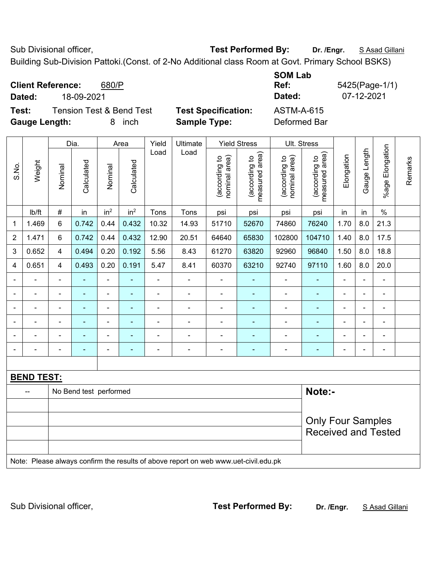Sub Divisional officer, **Test Performed By:** Dr. /Engr. **SAsad Gillani** Sub Divisional officer, Building Sub-Division Pattoki.(Const. of 2-No Additional class Room at Govt. Primary School BSKS)

|                | <b>Client Reference:</b><br>Dated:                                                  |                                                                                            | 18-09-2021                          | 680/P           |                    |                |                                                   |                                |                                                                    | <b>SOM Lab</b><br>Ref:<br>Dated:              |                                 |                          | 07-12-2021   | 5425(Page-1/1)            |         |
|----------------|-------------------------------------------------------------------------------------|--------------------------------------------------------------------------------------------|-------------------------------------|-----------------|--------------------|----------------|---------------------------------------------------|--------------------------------|--------------------------------------------------------------------|-----------------------------------------------|---------------------------------|--------------------------|--------------|---------------------------|---------|
| Test:          | <b>Gauge Length:</b>                                                                |                                                                                            | <b>Tension Test &amp; Bend Test</b> | 8               | inch               |                | <b>Test Specification:</b><br><b>Sample Type:</b> |                                |                                                                    | <b>ASTM-A-615</b><br>Deformed Bar             |                                 |                          |              |                           |         |
| S.No.          | Weight                                                                              | Nominal                                                                                    | Dia.<br>Calculated                  | Nominal         | Area<br>Calculated | Yield<br>Load  | Ultimate<br>Load                                  | (according to<br>nominal area) | <b>Yield Stress</b><br>(according to<br>neasured area)<br>measured | Ult. Stress<br>nominal area)<br>(according to | measured area)<br>(according to | Elongation               | Gauge Length | Elongation<br>$%$ age $ $ | Remarks |
|                | Ib/ft                                                                               | $\#$                                                                                       | in                                  | in <sup>2</sup> | in <sup>2</sup>    | Tons           | Tons                                              | psi                            | psi                                                                | psi                                           | psi                             | in                       | in           | $\%$                      |         |
| $\mathbf{1}$   | 1.469                                                                               | 6                                                                                          | 0.742                               | 0.44            | 0.432              | 10.32          | 14.93                                             | 51710                          | 52670                                                              | 74860                                         | 76240                           | 1.70                     | 8.0          | 21.3                      |         |
| $\overline{2}$ | 1.471                                                                               | 6                                                                                          | 0.742                               | 0.44            | 0.432              | 12.90          | 20.51                                             | 64640                          | 65830                                                              | 102800                                        | 104710                          | 1.40                     | 8.0          | 17.5                      |         |
| $\mathfrak{B}$ | 0.652                                                                               | 4                                                                                          | 0.494                               | 0.20            | 0.192              | 5.56           | 8.43                                              | 61270                          | 63820                                                              | 92960                                         | 96840                           | 1.50                     | 8.0          | 18.8                      |         |
| 4              | 0.651                                                                               | $\overline{4}$                                                                             | 0.493                               | 0.20            | 0.191              | 5.47           | 8.41                                              | 60370                          | 63210                                                              | 92740                                         | 97110                           | 1.60                     | 8.0          | 20.0                      |         |
|                |                                                                                     | $\blacksquare$                                                                             |                                     | ÷,              | ÷                  | $\blacksquare$ |                                                   | $\blacksquare$                 |                                                                    | $\blacksquare$                                | $\blacksquare$                  | $\blacksquare$           |              | $\blacksquare$            |         |
|                |                                                                                     |                                                                                            |                                     |                 |                    |                |                                                   |                                |                                                                    |                                               |                                 |                          |              |                           |         |
|                |                                                                                     |                                                                                            |                                     |                 |                    |                |                                                   |                                |                                                                    | $\qquad \qquad \blacksquare$                  | ۰                               | $\blacksquare$           |              | ٠                         |         |
|                |                                                                                     |                                                                                            | ۰                                   | $\overline{a}$  | -                  |                |                                                   | $\overline{a}$                 | $\overline{\phantom{0}}$                                           | $\overline{\phantom{a}}$                      | ۰                               | $\overline{\phantom{0}}$ |              | $\overline{\phantom{a}}$  |         |
|                |                                                                                     |                                                                                            | $\blacksquare$                      | $\overline{a}$  | ۰                  |                |                                                   |                                |                                                                    | ٠                                             | $\overline{\phantom{0}}$        | $\overline{\phantom{0}}$ |              | $\overline{\phantom{a}}$  |         |
|                |                                                                                     |                                                                                            |                                     |                 |                    |                |                                                   | $\overline{a}$                 |                                                                    |                                               | ۰                               |                          |              |                           |         |
|                | <b>BEND TEST:</b>                                                                   |                                                                                            |                                     |                 |                    |                |                                                   |                                |                                                                    |                                               |                                 |                          |              |                           |         |
|                |                                                                                     | Note:-<br>No Bend test performed<br><b>Only Four Samples</b><br><b>Received and Tested</b> |                                     |                 |                    |                |                                                   |                                |                                                                    |                                               |                                 |                          |              |                           |         |
|                | Note: Please always confirm the results of above report on web www.uet-civil.edu.pk |                                                                                            |                                     |                 |                    |                |                                                   |                                |                                                                    |                                               |                                 |                          |              |                           |         |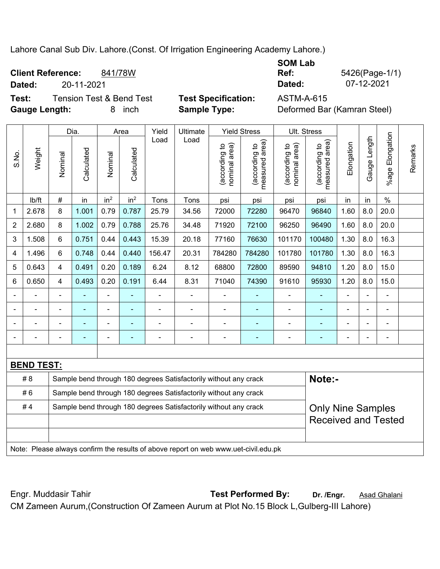Lahore Canal Sub Div. Lahore.(Const. Of Irrigation Engineering Academy Lahore.)

| <b>Client Reference:</b><br>Dated: | 20-11-2021                          | 841/78W |                            | <b>SOM Lab</b><br>Ref:<br>Dated: | 5426(Page-1/1)<br>07-12-2021 |
|------------------------------------|-------------------------------------|---------|----------------------------|----------------------------------|------------------------------|
| Test:                              | <b>Tension Test &amp; Bend Test</b> |         | <b>Test Specification:</b> | <b>ASTM-A-615</b>                |                              |
| <b>Gauge Length:</b>               |                                     | inch    | <b>Sample Type:</b>        | Deformed Bar (Kamran Steel)      |                              |

|                |                                                                                     | <b>Yield Stress</b><br>Ult. Stress<br>Dia.<br>Yield<br>Ultimate<br>Area    |            |                          |                          |        |                                                                  |                                |                                 |                                   |                                 |                |              |                 |         |
|----------------|-------------------------------------------------------------------------------------|----------------------------------------------------------------------------|------------|--------------------------|--------------------------|--------|------------------------------------------------------------------|--------------------------------|---------------------------------|-----------------------------------|---------------------------------|----------------|--------------|-----------------|---------|
| S.No.          | Weight                                                                              | Nominal                                                                    | Calculated | Nominal                  | Calculated               | Load   | Load                                                             | nominal area)<br>(according to | (according to<br>measured area) | area)<br>(according to<br>nominal | measured area)<br>(according to | Elongation     | Gauge Length | %age Elongation | Remarks |
|                | lb/ft                                                                               | #                                                                          | in         | in <sup>2</sup>          | in <sup>2</sup>          | Tons   | Tons                                                             | psi                            | psi                             | psi                               | psi                             | in             | in           | $\%$            |         |
| 1              | 2.678                                                                               | 8                                                                          | 1.001      | 0.79                     | 0.787                    | 25.79  | 34.56                                                            | 72000                          | 72280                           | 96470                             | 96840                           | 1.60           | 8.0          | 20.0            |         |
| $\overline{2}$ | 2.680                                                                               | 8                                                                          | 1.002      | 0.79                     | 0.788                    | 25.76  | 34.48                                                            | 71920                          | 72100                           | 96250                             | 96490                           | 1.60           | 8.0          | 20.0            |         |
| 3              | 1.508                                                                               | 6                                                                          | 0.751      | 0.44                     | 0.443                    | 15.39  | 20.18                                                            | 77160                          | 76630                           | 101170                            | 100480                          | 1.30           | 8.0          | 16.3            |         |
| 4              | 1.496                                                                               | 6                                                                          | 0.748      | 0.44                     | 0.440                    | 156.47 | 20.31                                                            | 784280                         | 784280                          | 101780                            | 101780                          | 1.30           | 8.0          | 16.3            |         |
| 5              | 0.643                                                                               | 4                                                                          | 0.491      | 0.20                     | 0.189                    | 6.24   | 8.12                                                             | 68800                          | 72800                           | 89590                             | 94810                           | 1.20           | 8.0          | 15.0            |         |
| 6              | 0.650                                                                               | 4                                                                          | 0.493      | 0.20                     | 0.191                    | 6.44   | 8.31                                                             | 71040                          | 74390                           | 91610                             | 95930<br>8.0<br>15.0<br>1.20    |                |              |                 |         |
|                |                                                                                     |                                                                            |            | $\overline{\phantom{0}}$ |                          | ÷,     | $\frac{1}{2}$                                                    |                                |                                 | $\blacksquare$                    | $\blacksquare$                  | $\blacksquare$ | ÷,           |                 |         |
|                | $\blacksquare$                                                                      |                                                                            | ä,         | $\blacksquare$           | $\overline{\phantom{a}}$ | ÷      | ÷                                                                | ÷,                             | ä,                              | $\blacksquare$                    | $\blacksquare$                  | ÷              | ÷,           | $\blacksquare$  |         |
|                |                                                                                     |                                                                            | ÷,         | ä,                       |                          |        | ÷                                                                | $\blacksquare$                 |                                 | $\blacksquare$                    | $\blacksquare$                  | ÷              | ÷            |                 |         |
|                |                                                                                     |                                                                            |            |                          |                          |        |                                                                  | $\overline{a}$                 |                                 | $\overline{a}$                    |                                 |                |              |                 |         |
|                |                                                                                     |                                                                            |            |                          |                          |        |                                                                  |                                |                                 |                                   |                                 |                |              |                 |         |
|                | <b>BEND TEST:</b>                                                                   |                                                                            |            |                          |                          |        |                                                                  |                                |                                 |                                   |                                 |                |              |                 |         |
|                | # 8                                                                                 | Note:-<br>Sample bend through 180 degrees Satisfactorily without any crack |            |                          |                          |        |                                                                  |                                |                                 |                                   |                                 |                |              |                 |         |
|                | #6                                                                                  |                                                                            |            |                          |                          |        | Sample bend through 180 degrees Satisfactorily without any crack |                                |                                 |                                   |                                 |                |              |                 |         |
|                | #4                                                                                  |                                                                            |            |                          |                          |        | Sample bend through 180 degrees Satisfactorily without any crack |                                |                                 |                                   | <b>Only Nine Samples</b>        |                |              |                 |         |
|                |                                                                                     |                                                                            |            |                          |                          |        |                                                                  |                                |                                 |                                   | <b>Received and Tested</b>      |                |              |                 |         |
|                |                                                                                     |                                                                            |            |                          |                          |        |                                                                  |                                |                                 |                                   |                                 |                |              |                 |         |
|                | Note: Please always confirm the results of above report on web www.uet-civil.edu.pk |                                                                            |            |                          |                          |        |                                                                  |                                |                                 |                                   |                                 |                |              |                 |         |

Engr. Muddasir Tahir **Test Performed By: Dr. /Engr.** Asad Ghalani CM Zameen Aurum,(Construction Of Zameen Aurum at Plot No.15 Block L,Gulberg-III Lahore)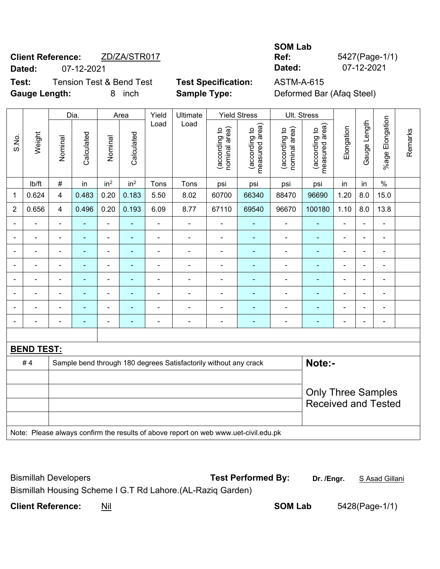# **Client Reference:** ZD/ZA/STR017 **Dated:** 07-12-2021 **Dated:** 07-12-2021

**Test:** Tension Test & Bend Test **Test Specification:** ASTM-A-615 **Gauge Length:** 8 inch **Sample Type:** Deformed Bar (Afaq Steel)

**The Contract** 

**Ref:** 5427(Page-1/1)

٦

**SOM Lab** 

|                |                   | Dia.<br>Area                                                               |                |                          | Yield                                      | Ultimate       |                                                                                     | <b>Yield Stress</b>            |                                 | Ult. Stress                    |                                 |                              |                |                          |         |
|----------------|-------------------|----------------------------------------------------------------------------|----------------|--------------------------|--------------------------------------------|----------------|-------------------------------------------------------------------------------------|--------------------------------|---------------------------------|--------------------------------|---------------------------------|------------------------------|----------------|--------------------------|---------|
| S.No.          | Weight            | Nominal                                                                    | Calculated     | Nominal                  | Calculated                                 | Load           | Load                                                                                | nominal area)<br>(according to | (according to<br>measured area) | (according to<br>nominal area) | (according to<br>measured area) | Elongation                   | Gauge Length   | %age Elongation          | Remarks |
|                | lb/ft             | $\#$                                                                       | in             | in <sup>2</sup>          | in <sup>2</sup>                            | Tons           | Tons                                                                                | psi                            | psi                             | psi                            | psi                             | in                           | in             | $\%$                     |         |
| $\mathbf{1}$   | 0.624             | 4                                                                          | 0.483          | 0.20                     | 0.183                                      | 5.50           | 8.02                                                                                | 60700                          | 66340                           | 88470                          | 96690                           | 1.20                         | 8.0            | 15.0                     |         |
| $\overline{2}$ | 0.656             | $\overline{4}$                                                             | 0.496          | 0.20                     | 0.193                                      | 6.09           | 8.77                                                                                | 67110                          | 69540                           | 96670                          | 100180                          | 1.10                         | 8.0            | 13.8                     |         |
|                |                   | $\overline{a}$                                                             | ä,             | $\blacksquare$           | $\blacksquare$                             | ä,             | ÷,                                                                                  | $\blacksquare$                 | $\blacksquare$                  | $\blacksquare$                 | ä,                              | L.                           |                | ä,                       |         |
|                | $\blacksquare$    | $\blacksquare$                                                             | ä,             | $\blacksquare$           | $\blacksquare$                             | L,             | $\overline{a}$                                                                      | ÷,                             | ÷                               | $\overline{a}$                 | ÷                               | $\blacksquare$               | ä,             | ÷                        |         |
|                | ÷                 | $\blacksquare$                                                             | ä,             | $\blacksquare$           | $\blacksquare$                             | $\overline{a}$ | ÷,                                                                                  | ÷,                             | $\blacksquare$                  | $\blacksquare$                 | $\frac{1}{2}$                   | $\qquad \qquad \blacksquare$ | $\blacksquare$ | ÷,                       |         |
|                | $\blacksquare$    | $\blacksquare$                                                             | ä,             | $\blacksquare$           | L,<br>÷,<br>÷,<br>÷<br>$\blacksquare$<br>÷ |                |                                                                                     |                                |                                 |                                |                                 | ä,                           |                | $\overline{\phantom{0}}$ |         |
|                |                   | $\blacksquare$                                                             | ä,             | $\blacksquare$           | $\blacksquare$                             | L,             | ÷,                                                                                  | L,                             | $\blacksquare$                  | $\blacksquare$                 | ä,                              | $\blacksquare$               |                | ä,                       |         |
|                |                   | ä,                                                                         |                | ÷,                       |                                            |                | $\blacksquare$                                                                      |                                |                                 | $\blacksquare$                 |                                 |                              |                |                          |         |
|                |                   |                                                                            |                | $\overline{\phantom{a}}$ |                                            | -              | $\blacksquare$                                                                      | ä,                             | ÷                               | $\blacksquare$                 | $\blacksquare$                  |                              |                | $\frac{1}{2}$            |         |
|                |                   | $\blacksquare$                                                             | $\blacksquare$ | $\overline{\phantom{a}}$ | $\overline{\phantom{a}}$                   | $\blacksquare$ | $\blacksquare$                                                                      | $\blacksquare$                 | ۰                               | $\blacksquare$                 | ٠                               | $\blacksquare$               |                | ÷                        |         |
|                |                   |                                                                            |                |                          |                                            |                |                                                                                     |                                |                                 |                                |                                 |                              |                |                          |         |
|                | <b>BEND TEST:</b> |                                                                            |                |                          |                                            |                |                                                                                     |                                |                                 |                                |                                 |                              |                |                          |         |
|                | #4                | Note:-<br>Sample bend through 180 degrees Satisfactorily without any crack |                |                          |                                            |                |                                                                                     |                                |                                 |                                |                                 |                              |                |                          |         |
|                |                   |                                                                            |                |                          |                                            |                |                                                                                     |                                |                                 |                                |                                 |                              |                |                          |         |
|                |                   |                                                                            |                |                          |                                            |                |                                                                                     |                                |                                 |                                | <b>Only Three Samples</b>       |                              |                |                          |         |
|                |                   |                                                                            |                |                          |                                            |                |                                                                                     |                                |                                 |                                | <b>Received and Tested</b>      |                              |                |                          |         |
|                |                   |                                                                            |                |                          |                                            |                |                                                                                     |                                |                                 |                                |                                 |                              |                |                          |         |
|                |                   |                                                                            |                |                          |                                            |                | Note: Please always confirm the results of above report on web www.uet-civil.edu.pk |                                |                                 |                                |                                 |                              |                |                          |         |

| <b>Bismillah Developers</b>                                | <b>Test Performed By:</b> | Dr. /Engr. | <u>S Asad Gillani</u> |
|------------------------------------------------------------|---------------------------|------------|-----------------------|
| Bismillah Housing Scheme I G.T Rd Lahore.(AL-Raziq Garden) |                           |            |                       |

**Client Reference:** Nil **SOM Lab** 5428(Page-1/1)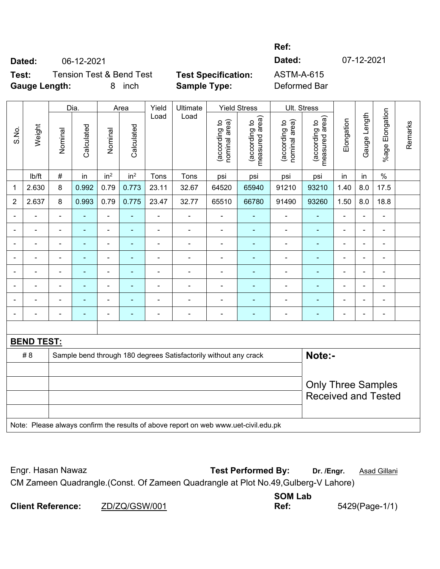**Ref:** 

**Dated:** 06-12-2021 **Dated:** 07-12-2021

**Test:** Tension Test & Bend Test **Test Specification:** ASTM-A-615 **Gauge Length:** 8 inch **Sample Type:** Deformed Bar

|                |                   |                | Dia.           |                          | Area            | Yield          | Ultimate                                                                            |                                | <b>Yield Stress</b>                         | Ult. Stress                    |                                                         |                |                |                          |         |
|----------------|-------------------|----------------|----------------|--------------------------|-----------------|----------------|-------------------------------------------------------------------------------------|--------------------------------|---------------------------------------------|--------------------------------|---------------------------------------------------------|----------------|----------------|--------------------------|---------|
| S.No.          | Weight            | Nominal        | Calculated     | Nominal                  | Calculated      | Load           | Load                                                                                | (according to<br>nominal area) | (according to<br>neasured area)<br>measured | (according to<br>nominal area) | (according to<br>measured area)                         | Elongation     | Gauge Length   | %age Elongation          | Remarks |
|                | lb/ft             | $\#$           | in             | in <sup>2</sup>          | in <sup>2</sup> | Tons           | Tons                                                                                | psi                            | psi                                         | psi                            | psi                                                     | in             | in             | $\%$                     |         |
| 1              | 2.630             | 8              | 0.992          | 0.79                     | 0.773           | 23.11          | 32.67                                                                               | 64520                          | 65940                                       | 91210                          | 93210                                                   | 1.40           | 8.0            | 17.5                     |         |
| $\overline{2}$ | 2.637             | $\bf 8$        | 0.993          | 0.79                     | 0.775           | 23.47          | 32.77                                                                               | 65510                          | 66780                                       | 91490                          | 93260                                                   | 1.50           | 8.0            | 18.8                     |         |
|                |                   | $\blacksquare$ |                | $\blacksquare$           | Ξ               | ä,             | $\blacksquare$                                                                      |                                |                                             | $\blacksquare$                 | $\blacksquare$                                          | ÷              |                | $\blacksquare$           |         |
|                |                   | ÷              |                | $\blacksquare$           | ٠               | $\blacksquare$ | ä,                                                                                  | $\blacksquare$                 |                                             | $\blacksquare$                 | $\blacksquare$                                          | ÷              |                | $\blacksquare$           |         |
|                |                   | L,             |                | ÷                        |                 |                |                                                                                     |                                |                                             | $\blacksquare$                 |                                                         |                |                | $\blacksquare$           |         |
|                |                   | ä,             |                | $\blacksquare$           |                 |                |                                                                                     |                                |                                             | $\overline{\phantom{0}}$       | $\blacksquare$                                          |                | $\blacksquare$ | ۰                        |         |
|                |                   | $\blacksquare$ | $\blacksquare$ | $\overline{\phantom{a}}$ | ۰               | $\blacksquare$ | $\blacksquare$                                                                      | $\blacksquare$                 | $\overline{\phantom{a}}$                    | $\blacksquare$                 | ۰                                                       | $\blacksquare$ | $\blacksquare$ | $\overline{\phantom{a}}$ |         |
|                |                   | ä,             | $\blacksquare$ | ä,                       | ۰               | $\blacksquare$ | $\overline{\phantom{0}}$                                                            |                                |                                             | $\blacksquare$                 | ٠                                                       |                |                | ÷.                       |         |
|                |                   |                |                | $\blacksquare$           |                 |                |                                                                                     |                                |                                             | $\blacksquare$                 | $\blacksquare$                                          |                |                | $\blacksquare$           |         |
|                |                   | ä,             |                | $\overline{\phantom{0}}$ | ۳               |                | $\blacksquare$                                                                      | $\overline{a}$                 | $\blacksquare$                              | -                              | $\blacksquare$                                          | $\blacksquare$ | $\blacksquare$ | $\blacksquare$           |         |
|                |                   |                |                |                          |                 |                |                                                                                     |                                |                                             |                                |                                                         |                |                |                          |         |
|                | <b>BEND TEST:</b> |                |                |                          |                 |                |                                                                                     |                                |                                             |                                |                                                         |                |                |                          |         |
|                | # 8               |                |                |                          |                 |                | Sample bend through 180 degrees Satisfactorily without any crack                    |                                |                                             |                                | Note:-                                                  |                |                |                          |         |
|                |                   |                |                |                          |                 |                |                                                                                     |                                |                                             |                                |                                                         |                |                |                          |         |
|                |                   |                |                |                          |                 |                |                                                                                     |                                |                                             |                                | <b>Only Three Samples</b><br><b>Received and Tested</b> |                |                |                          |         |
|                |                   |                |                |                          |                 |                | Note: Please always confirm the results of above report on web www.uet-civil.edu.pk |                                |                                             |                                |                                                         |                |                |                          |         |

Engr. Hasan Nawaz **Test Performed By: Dr. /Engr.** Asad Gillani CM Zameen Quadrangle.(Const. Of Zameen Quadrangle at Plot No.49,Gulberg-V Lahore)

|                          |               | <b>SOM Lab</b> |                |
|--------------------------|---------------|----------------|----------------|
| <b>Client Reference:</b> | ZD/ZQ/GSW/001 | Ref:           | 5429(Page-1/1) |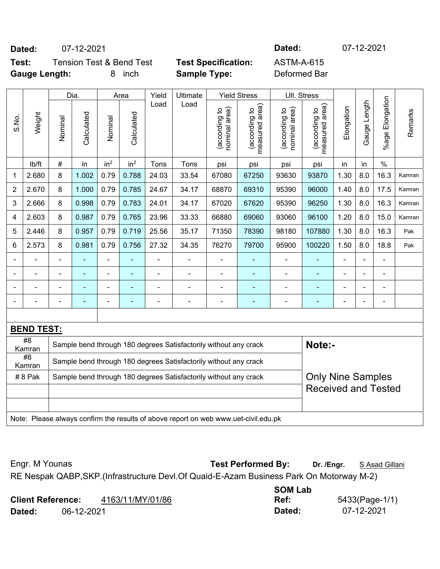**Dated:** 07-12-2021 **Dated:** 07-12-2021

**Test:** Tension Test & Bend Test **Test Specification:** ASTM-A-615 **Gauge Length:** 8 inch **Sample Type:** Deformed Bar

|                |                           |                                                                            | Dia.           |                 | Area                     | Yield | Ultimate                                                                            |                                   | <b>Yield Stress</b>             |                                               | Ult. Stress                     |                          |                |                 |         |
|----------------|---------------------------|----------------------------------------------------------------------------|----------------|-----------------|--------------------------|-------|-------------------------------------------------------------------------------------|-----------------------------------|---------------------------------|-----------------------------------------------|---------------------------------|--------------------------|----------------|-----------------|---------|
| S.No.          | Weight                    | Nominal                                                                    | Calculated     | Nominal         | Calculated               | Load  | Load                                                                                | area)<br>(according to<br>nominal | (according to<br>measured area) | nominal area)<br>(according to                | measured area)<br>(according to | Elongation               | Gauge Length   | %age Elongation | Remarks |
|                | lb/ft                     | $\#$                                                                       | in             | in <sup>2</sup> | in <sup>2</sup>          | Tons  | Tons                                                                                | psi                               | psi                             | psi                                           | psi                             | in                       | in             | $\%$            |         |
| 1              | 2.680                     | 8                                                                          | 1.002          | 0.79            | 0.788                    | 24.03 | 33.54                                                                               | 67080                             | 67250                           | 93630                                         | 93870                           | 1.30                     | 8.0            | 16.3            | Kamran  |
| $\overline{2}$ | 2.670                     | 8                                                                          | 1.000          | 0.79            | 0.785                    | 24.67 | 34.17                                                                               | 68870                             | 69310                           | 95390                                         | 96000                           | 1.40                     | 8.0            | 17.5            | Kamran  |
| 3              | 2.666                     | 8                                                                          | 0.998          | 0.79            | 0.783                    | 24.01 | 34.17                                                                               | 67020                             | 67620                           | 95390                                         | 96250                           | 1.30                     | 8.0            | 16.3            | Kamran  |
| 4              | 2.603                     | 8                                                                          | 0.987          | 0.79            | 0.765                    | 23.96 | 33.33                                                                               | 66880                             | 69060                           | 93060                                         | 96100                           | 1.20                     | 8.0            | 15.0            | Kamran  |
| 5              | 2.446                     | 8                                                                          | 0.957          | 0.79            | 0.719                    | 25.56 | 35.17                                                                               | 71350                             | 78390                           | 98180                                         | 107880                          | 1.30                     | 8.0            | 16.3            | Pak     |
| 6              | 2.573                     | 8                                                                          | 0.981          | 0.79            | 0.756                    | 27.32 | 34.35                                                                               | 76270                             | 79700                           | 1.50<br>8.0<br>18.8<br>95900<br>100220<br>Pak |                                 |                          |                |                 |         |
| $\blacksquare$ |                           | $\blacksquare$                                                             | ٠              | $\blacksquare$  | ÷                        |       | $\blacksquare$                                                                      |                                   |                                 | ÷                                             |                                 | $\overline{\phantom{a}}$ | ä,             |                 |         |
| $\blacksquare$ |                           | $\blacksquare$                                                             | $\blacksquare$ | ÷               | ۰                        | Ē,    | $\blacksquare$                                                                      | $\blacksquare$                    | ٠                               | ÷                                             | $\blacksquare$                  | $\blacksquare$           | $\blacksquare$ | $\blacksquare$  |         |
| $\blacksquare$ |                           | $\blacksquare$                                                             | $\blacksquare$ | ÷               | $\overline{\phantom{a}}$ | Ē,    | $\blacksquare$                                                                      | $\blacksquare$                    | $\blacksquare$                  | ÷                                             | $\blacksquare$                  | $\blacksquare$           | $\blacksquare$ | $\blacksquare$  |         |
|                |                           | $\blacksquare$                                                             |                | $\blacksquare$  | $\overline{\phantom{a}}$ | Ē,    | $\blacksquare$                                                                      | $\blacksquare$                    | $\blacksquare$                  | ÷                                             |                                 |                          | $\blacksquare$ |                 |         |
|                |                           |                                                                            |                |                 |                          |       |                                                                                     |                                   |                                 |                                               |                                 |                          |                |                 |         |
|                | <b>BEND TEST:</b>         |                                                                            |                |                 |                          |       |                                                                                     |                                   |                                 |                                               |                                 |                          |                |                 |         |
|                | $\overline{48}$<br>Kamran | Note:-<br>Sample bend through 180 degrees Satisfactorily without any crack |                |                 |                          |       |                                                                                     |                                   |                                 |                                               |                                 |                          |                |                 |         |
|                | #8<br>Kamran              |                                                                            |                |                 |                          |       | Sample bend through 180 degrees Satisfactorily without any crack                    |                                   |                                 |                                               |                                 |                          |                |                 |         |
|                | #8 Pak                    |                                                                            |                |                 |                          |       | Sample bend through 180 degrees Satisfactorily without any crack                    |                                   |                                 |                                               | <b>Only Nine Samples</b>        |                          |                |                 |         |
|                |                           |                                                                            |                |                 |                          |       |                                                                                     |                                   |                                 |                                               | <b>Received and Tested</b>      |                          |                |                 |         |
|                |                           |                                                                            |                |                 |                          |       |                                                                                     |                                   |                                 |                                               |                                 |                          |                |                 |         |
|                |                           |                                                                            |                |                 |                          |       | Note: Please always confirm the results of above report on web www.uet-civil.edu.pk |                                   |                                 |                                               |                                 |                          |                |                 |         |

Engr. M Younas **Test Performed By:** Dr. /Engr. **SAsad Gillani** RE Nespak QABP,SKP.(Infrastructure Devl.Of Quaid-E-Azam Business Park On Motorway M-2)

|                          |            |                  | <b>SOM Lab</b> |                |
|--------------------------|------------|------------------|----------------|----------------|
| <b>Client Reference:</b> |            | 4163/11/MY/01/86 | Ref:           | 5433(Page-1/1) |
| Dated:                   | 06-12-2021 |                  | Dated:         | 07-12-2021     |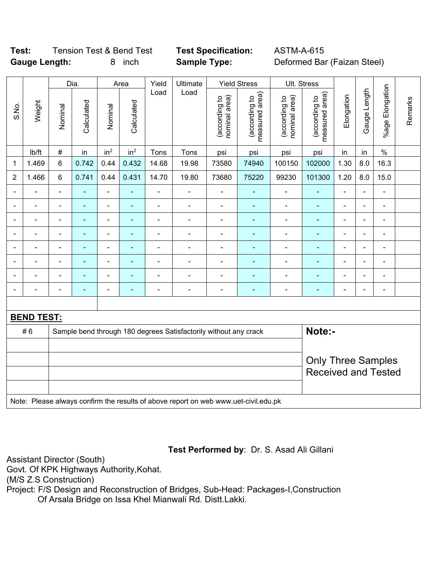## **Test:** Tension Test & Bend Test **Test Specification:** ASTM-A-615 **Gauge Length:** 8 inch **Sample Type:** Deformed Bar (Faizan Steel)

|                |                                                                                     |                                                                            | Dia.           |                 | Area                       | Yield          | Ultimate                  |                                | <b>Yield Stress</b>             |                                | Ult. Stress                     |                |                |                 |         |
|----------------|-------------------------------------------------------------------------------------|----------------------------------------------------------------------------|----------------|-----------------|----------------------------|----------------|---------------------------|--------------------------------|---------------------------------|--------------------------------|---------------------------------|----------------|----------------|-----------------|---------|
| S.No.          | Weight                                                                              | Nominal                                                                    | Calculated     | Nominal         | Calculated                 | Load           | Load                      | nominal area)<br>(according to | (according to<br>measured area) | nominal area)<br>(according to | (according to<br>measured area) | Elongation     | Gauge Length   | %age Elongation | Remarks |
|                | lb/ft                                                                               | $\#$                                                                       | in             | in <sup>2</sup> | in <sup>2</sup>            | Tons           | Tons                      | psi                            | psi                             | psi                            | psi                             | in             | in             | $\%$            |         |
| 1              | 1.469                                                                               | $\,6\,$                                                                    | 0.742          | 0.44            | 0.432                      | 14.68          | 19.98                     | 73580                          | 74940                           | 100150                         | 102000                          | 1.30           | 8.0            | 16.3            |         |
| $\overline{2}$ | 1.466                                                                               | $6\phantom{1}$                                                             | 0.741          | 0.44            | 0.431                      | 14.70          | 19.80                     | 73680                          | 75220                           | 99230                          | 101300                          | 1.20           | 8.0            | 15.0            |         |
| Ē,             | $\blacksquare$                                                                      | $\blacksquare$                                                             | $\blacksquare$ | ÷,              | ä,                         | ä,             | $\frac{1}{2}$             | $\blacksquare$                 | $\blacksquare$                  | $\blacksquare$                 | ٠                               | $\blacksquare$ | $\blacksquare$ | ÷,              |         |
| Ē,             | ÷,                                                                                  | $\blacksquare$                                                             | ÷,             | $\blacksquare$  | ÷                          | $\blacksquare$ | $\blacksquare$            | $\blacksquare$                 | ÷,                              | $\blacksquare$                 | ÷,                              | $\blacksquare$ | $\blacksquare$ | ÷,              |         |
|                | L.                                                                                  |                                                                            | $\blacksquare$ | $\blacksquare$  | ٠                          | $\blacksquare$ | $\blacksquare$            | $\blacksquare$                 | $\blacksquare$                  | $\blacksquare$                 | $\blacksquare$                  | $\blacksquare$ | Ē,             | ÷               |         |
|                |                                                                                     |                                                                            |                | ÷               |                            | -              | $\overline{\phantom{0}}$  |                                |                                 | $\blacksquare$                 | ä,                              |                | ÷              | -               |         |
|                | $\overline{a}$                                                                      |                                                                            | ٠              | ÷               |                            | -              | $\overline{\phantom{0}}$  | $\blacksquare$                 | ٠                               | $\blacksquare$                 | $\blacksquare$                  | $\blacksquare$ | ÷              |                 |         |
| Ē,             | L,                                                                                  | $\blacksquare$                                                             | $\blacksquare$ | ÷,              | $\blacksquare$             | ä,             | $\frac{1}{2}$             | $\blacksquare$                 | ٠                               | $\blacksquare$                 | $\blacksquare$                  | $\blacksquare$ | ä,             | $\blacksquare$  |         |
|                | $\overline{a}$                                                                      |                                                                            | Ē.             | ÷               |                            | $\blacksquare$ | $\overline{\phantom{0}}$  | $\blacksquare$                 | ٠                               | $\blacksquare$                 | ٠                               | $\blacksquare$ | ÷              |                 |         |
|                | L                                                                                   |                                                                            | Ē,             | ÷,              | ä,                         | ä,             | $\frac{1}{2}$             | $\blacksquare$                 | $\blacksquare$                  | $\blacksquare$                 | ÷                               | $\blacksquare$ | ä,             | $\blacksquare$  |         |
|                |                                                                                     |                                                                            |                |                 |                            |                |                           |                                |                                 |                                |                                 |                |                |                 |         |
|                | <b>BEND TEST:</b>                                                                   |                                                                            |                |                 |                            |                |                           |                                |                                 |                                |                                 |                |                |                 |         |
|                | #6                                                                                  | Note:-<br>Sample bend through 180 degrees Satisfactorily without any crack |                |                 |                            |                |                           |                                |                                 |                                |                                 |                |                |                 |         |
|                |                                                                                     |                                                                            |                |                 |                            |                |                           |                                |                                 |                                |                                 |                |                |                 |         |
|                |                                                                                     |                                                                            |                |                 |                            |                | <b>Only Three Samples</b> |                                |                                 |                                |                                 |                |                |                 |         |
|                |                                                                                     |                                                                            |                |                 | <b>Received and Tested</b> |                |                           |                                |                                 |                                |                                 |                |                |                 |         |
|                |                                                                                     |                                                                            |                |                 |                            |                |                           |                                |                                 |                                |                                 |                |                |                 |         |
|                | Note: Please always confirm the results of above report on web www.uet-civil.edu.pk |                                                                            |                |                 |                            |                |                           |                                |                                 |                                |                                 |                |                |                 |         |

## **Test Performed by**: Dr. S. Asad Ali Gillani

Assistant Director (South)

Govt. Of KPK Highways Authority,Kohat.

(M/S Z.S Construction)

Project: F/S Design and Reconstruction of Bridges, Sub-Head: Packages-I,Construction Of Arsala Bridge on Issa Khel Mianwali Rd. Distt.Lakki.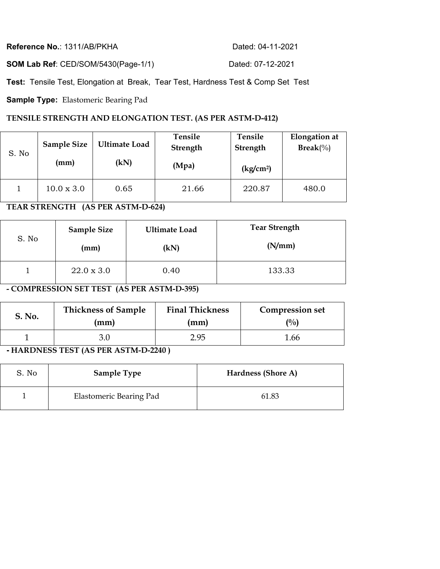| Reference No.: 1311/AB/PKHA                | Dated: 04-11-2021 |
|--------------------------------------------|-------------------|
| <b>SOM Lab Ref: CED/SOM/5430(Page-1/1)</b> | Dated: 07-12-2021 |

**Test:** Tensile Test, Elongation at Break, Tear Test, Hardness Test & Comp Set Test

**Sample Type:** Elastomeric Bearing Pad

### **TENSILE STRENGTH AND ELONGATION TEST. (AS PER ASTM-D-412)**

| S. No | <b>Sample Size</b><br>(mm) | <b>Ultimate Load</b><br>(kN) | Tensile<br>Strength<br>(Mpa) | Tensile<br><b>Strength</b><br>(kg/cm <sup>2</sup> ) | <b>Elongation</b> at<br>$\text{Break}(\%)$ |
|-------|----------------------------|------------------------------|------------------------------|-----------------------------------------------------|--------------------------------------------|
|       | $10.0 \times 3.0$          | 0.65                         | 21.66                        | 220.87                                              | 480.0                                      |

## **TEAR STRENGTH (AS PER ASTM-D-624)**

| S. No | <b>Sample Size</b> | <b>Ultimate Load</b> | <b>Tear Strength</b> |
|-------|--------------------|----------------------|----------------------|
|       | (mm)               | (kN)                 | (N/mm)               |
|       | $22.0 \times 3.0$  | 0.40                 | 133.33               |

**- COMPRESSION SET TEST (AS PER ASTM-D-395)** 

| S. No. | <b>Thickness of Sample</b> | <b>Final Thickness</b> | <b>Compression set</b> |
|--------|----------------------------|------------------------|------------------------|
|        | $\text{mm}$                | (mm)                   | $\frac{(0)}{0}$        |
|        |                            | 2.95                   | 1.66                   |

**- HARDNESS TEST (AS PER ASTM-D-2240 )** 

| S. No | <b>Sample Type</b>      | Hardness (Shore A) |
|-------|-------------------------|--------------------|
|       | Elastomeric Bearing Pad | 61.83              |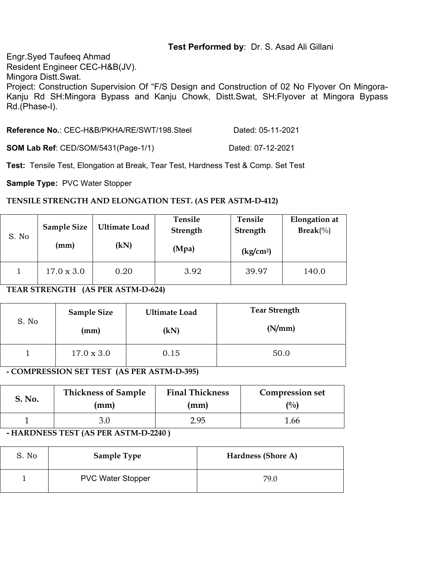## **Test Performed by**: Dr. S. Asad Ali Gillani

Engr.Syed Taufeeq Ahmad Resident Engineer CEC-H&B(JV). Mingora Distt.Swat. Project: Construction Supervision Of "F/S Design and Construction of 02 No Flyover On Mingora-Kanju Rd SH:Mingora Bypass and Kanju Chowk, Distt.Swat, SH:Flyover at Mingora Bypass Rd.(Phase-I).

| Reference No.: CEC-H&B/PKHA/RE/SWT/198.Steel | Dated: 05-11-2021 |
|----------------------------------------------|-------------------|
| <b>SOM Lab Ref: CED/SOM/5431(Page-1/1)</b>   | Dated: 07-12-2021 |

**Test:** Tensile Test, Elongation at Break, Tear Test, Hardness Test & Comp. Set Test

**Sample Type:** PVC Water Stopper

#### **TENSILE STRENGTH AND ELONGATION TEST. (AS PER ASTM-D-412)**

| S. No | <b>Sample Size</b><br>(mm) | <b>Ultimate Load</b><br>(kN) | Tensile<br>Strength<br>(Mpa) | Tensile<br><b>Strength</b><br>$\frac{\text{kg}}{\text{cm}^2}$ | <b>Elongation</b> at<br>$\text{Break}(\%)$ |
|-------|----------------------------|------------------------------|------------------------------|---------------------------------------------------------------|--------------------------------------------|
|       | $17.0 \times 3.0$          | 0.20                         | 3.92                         | 39.97                                                         | 140.0                                      |

### **TEAR STRENGTH (AS PER ASTM-D-624)**

|       | <b>Sample Size</b> | <b>Ultimate Load</b> | <b>Tear Strength</b> |  |
|-------|--------------------|----------------------|----------------------|--|
| S. No | (mm)               | (kN)                 | (N/mm)               |  |
|       | $17.0 \times 3.0$  | 0.15                 | 50.0                 |  |

**- COMPRESSION SET TEST (AS PER ASTM-D-395)** 

| S. No. | <b>Thickness of Sample</b> | <b>Final Thickness</b> | <b>Compression set</b> |
|--------|----------------------------|------------------------|------------------------|
|        | (mm)                       | (mm)                   | $\binom{0}{0}$         |
|        | 3.0                        | 2.95                   | 1.66                   |

#### **- HARDNESS TEST (AS PER ASTM-D-2240 )**

| S. No | <b>Sample Type</b>       | Hardness (Shore A) |
|-------|--------------------------|--------------------|
|       | <b>PVC Water Stopper</b> | 79.0               |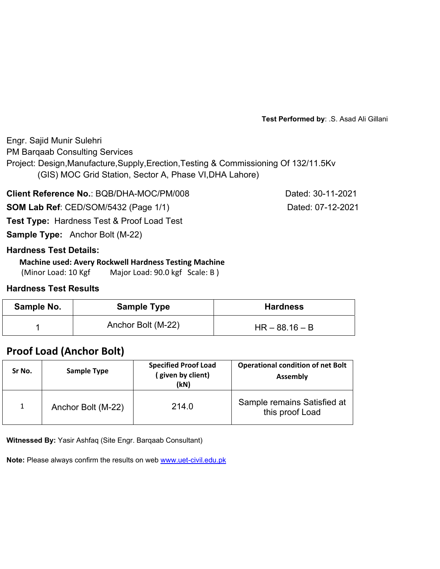**Test Performed by**: .S. Asad Ali Gillani

Engr. Sajid Munir Sulehri PM Barqaab Consulting Services Project: Design,Manufacture,Supply,Erection,Testing & Commissioning Of 132/11.5Kv (GIS) MOC Grid Station, Sector A, Phase VI,DHA Lahore)

**Client Reference No.: BQB/DHA-MOC/PM/008 Dated: 30-11-2021** 

**SOM Lab Ref**: CED/SOM/5432 (Page 1/1) Dated: 07-12-2021

**Test Type:** Hardness Test & Proof Load Test

**Sample Type:** Anchor Bolt (M-22)

## **Hardness Test Details:**

#### **Machine used: Avery Rockwell Hardness Testing Machine**

(Minor Load: 10 Kgf Major Load: 90.0 kgf Scale: B)

## **Hardness Test Results**

| Sample No. | <b>Sample Type</b> | <b>Hardness</b>  |
|------------|--------------------|------------------|
|            | Anchor Bolt (M-22) | $HR - 88.16 - B$ |

# **Proof Load (Anchor Bolt)**

| Sr No.       | <b>Sample Type</b> | <b>Specified Proof Load</b><br>(given by client)<br>(kN) | <b>Operational condition of net Bolt</b><br><b>Assembly</b> |  |  |
|--------------|--------------------|----------------------------------------------------------|-------------------------------------------------------------|--|--|
| $\mathbf{1}$ | Anchor Bolt (M-22) | 214.0                                                    | Sample remains Satisfied at<br>this proof Load              |  |  |

**Witnessed By:** Yasir Ashfaq (Site Engr. Barqaab Consultant)

**Note:** Please always confirm the results on web www.uet-civil.edu.pk